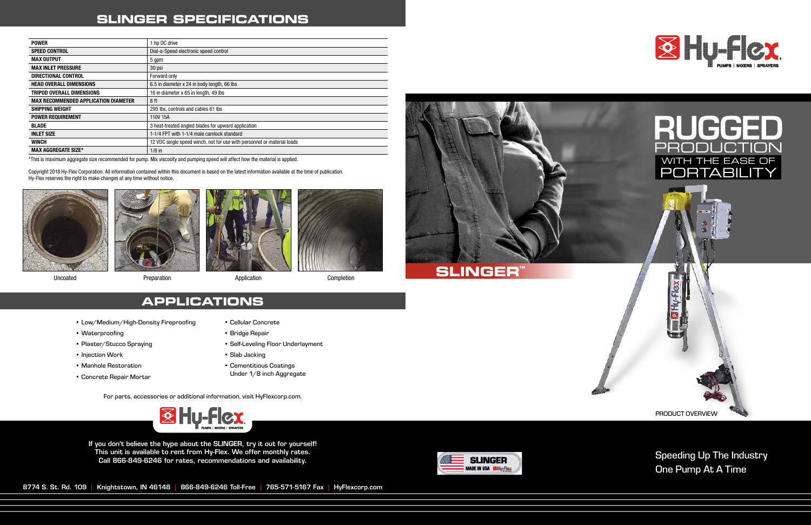### Speeding Up The Industry One Pump At A Time

If you don't believe the hype about the SLINGER, try it out for yourself! This unit is available to rent from Hy-Flex. We offer monthly rates. Call 866-849-6246 for rates, recommendations and availability.



| <b>POWER</b>                                | 1 hp DC drive                                                           |
|---------------------------------------------|-------------------------------------------------------------------------|
| <b>SPEED CONTROL</b>                        | Dial-a-Speed electronic speed control                                   |
| <b>MAX OUTPUT</b>                           | 5 gpm                                                                   |
| <b>MAX INLET PRESSURE</b>                   | 30 psi                                                                  |
| DIRECTIONAL CONTROL                         | Forward only                                                            |
| <b>HEAD OVERALL DIMENSIONS</b>              | 6.5 in diameter x 24 in body length, 66 lbs                             |
| <b>TRIPOD OVERALL DIMENSIONS</b>            | 16 in diameter x 65 in length, 49 lbs                                   |
| <b>MAX RECOMMENDED APPLICATION DIAMETER</b> | 8 ft                                                                    |
| <b>SHIPPING WEIGHT</b>                      | 295 lbs, controls and cables 61 lbs                                     |
| <b>POWER REQUIREMENT</b>                    | 110V 15A                                                                |
| <b>BLADE</b>                                | 3 heat-treated angled blades for upward application                     |
| <b>INLET SIZE</b>                           | 1-1/4 FPT with 1-1/4 male camlock standard                              |
| <b>WINCH</b>                                | 12 VDC single speed winch, not for use with personnel or material loads |
| <b>MAX AGGREGATE SIZE*</b>                  | $1/8$ in                                                                |

## **SLINGER SPECIFICATIONS**



Uncoated **Preparation Completion** Preparation Application **Application** Completion

For parts, accessories or additional information, visit HyFlexcorp.com.



8774 S. St. Rd. 109 | Knightstown, IN 46148 | 866-849-6246 Toll-Free | 765-571-5167 Fax | HyFlexcorp.com



\*This is maximum aggregate size recommended for pump. Mix viscosity and pumping speed will affect how the material is applied.

Copyright 2018 Hy-Flex Corporation. All information contained within this document is based on the latest information available at the time of publication. Hy-Flex reserves the right to make changes at any time without notice.









## **APPLICATIONS**

- Low/Medium/High-Density Fireproofing
- Waterproofing
- Plaster/Stucco Spraying
- Injection Work
- Manhole Restoration
- Concrete Repair Mortar
- Cellular Concrete
- Bridge Repair
- Self-Leveling Floor Underlayment
- Slab Jacking
- Cementitious Coatings Under 1/8 inch Aggregate